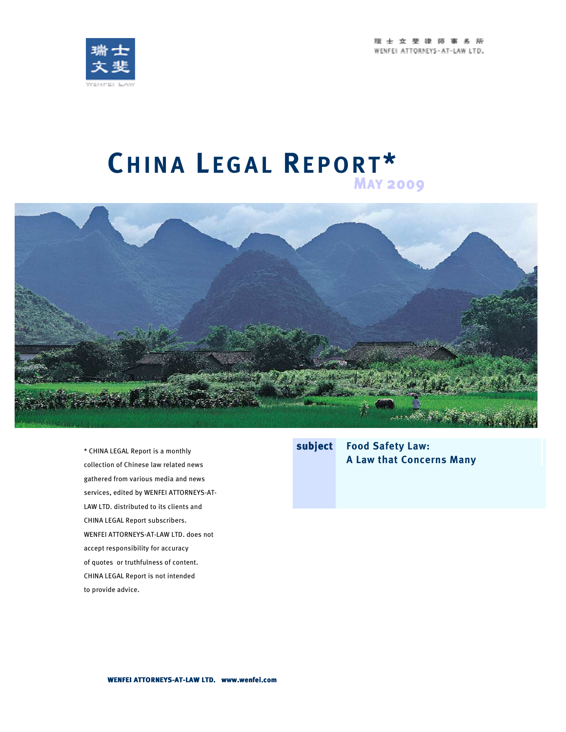瑞士女斐律师事务所 WENFEL ATTORNEYS-AT-LAW LTD.



# **CH I N A L E G A L RE P O R T \* 2111NA ELSAL IVEI ONE**



\* CHINA LEGAL Report is a monthly collection of Chinese law related news gathered from various media and news services, edited by WENFEI ATTORNEYS-AT-LAW LTD. distributed to its clients and CHINA LEGAL Report subscribers. WENFEI ATTORNEYS-AT-LAW LTD. does not accept responsibility for accuracy of quotes or truthfulness of content. CHINA LEGAL Report is not intended to provide advice.

**subject Food Safety Law: A Law that Concerns Many**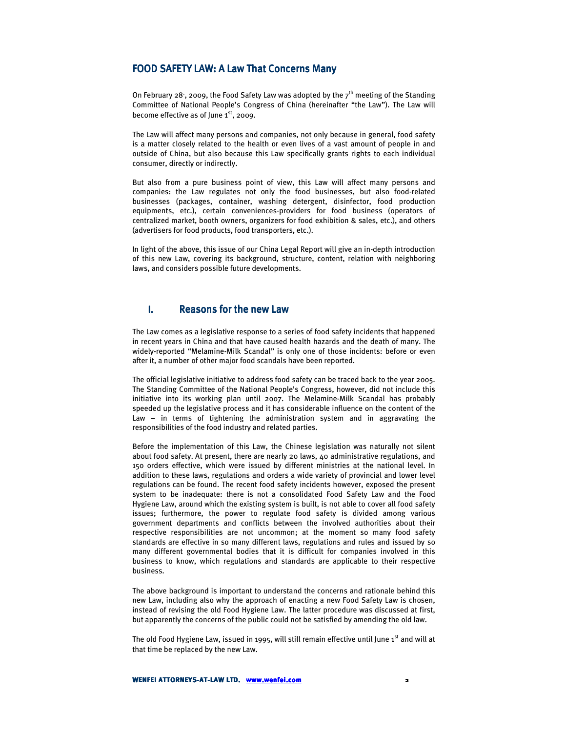#### FOOD SAFETY LAW: A Law That Concerns Many

On February 28, 2009, the Food Safety Law was adopted by the  $7<sup>th</sup>$  meeting of the Standing Committee of National People's Congress of China (hereinafter "the Law"). The Law will become effective as of June 1<sup>st</sup>, 2009.

The Law will affect many persons and companies, not only because in general, food safety is a matter closely related to the health or even lives of a vast amount of people in and outside of China, but also because this Law specifically grants rights to each individual consumer, directly or indirectly.

But also from a pure business point of view, this Law will affect many persons and companies: the Law regulates not only the food businesses, but also food-related businesses (packages, container, washing detergent, disinfector, food production equipments, etc.), certain conveniences-providers for food business (operators of centralized market, booth owners, organizers for food exhibition & sales, etc.), and others (advertisers for food products, food transporters, etc.).

In light of the above, this issue of our China Legal Report will give an in-depth introduction of this new Law, covering its background, structure, content, relation with neighboring laws, and considers possible future developments.

### I. Reasons for the new Law

The Law comes as a legislative response to a series of food safety incidents that happened in recent years in China and that have caused health hazards and the death of many. The widely-reported "Melamine-Milk Scandal" is only one of those incidents: before or even after it, a number of other major food scandals have been reported.

The official legislative initiative to address food safety can be traced back to the year 2005. The Standing Committee of the National People's Congress, however, did not include this initiative into its working plan until 2007. The Melamine-Milk Scandal has probably speeded up the legislative process and it has considerable influence on the content of the Law – in terms of tightening the administration system and in aggravating the responsibilities of the food industry and related parties.

Before the implementation of this Law, the Chinese legislation was naturally not silent about food safety. At present, there are nearly 20 laws, 40 administrative regulations, and 150 orders effective, which were issued by different ministries at the national level. In addition to these laws, regulations and orders a wide variety of provincial and lower level regulations can be found. The recent food safety incidents however, exposed the present system to be inadequate: there is not a consolidated Food Safety Law and the Food Hygiene Law, around which the existing system is built, is not able to cover all food safety issues; furthermore, the power to regulate food safety is divided among various government departments and conflicts between the involved authorities about their respective responsibilities are not uncommon; at the moment so many food safety standards are effective in so many different laws, regulations and rules and issued by so many different governmental bodies that it is difficult for companies involved in this business to know, which regulations and standards are applicable to their respective business.

The above background is important to understand the concerns and rationale behind this new Law, including also why the approach of enacting a new Food Safety Law is chosen, instead of revising the old Food Hygiene Law. The latter procedure was discussed at first, but apparently the concerns of the public could not be satisfied by amending the old law.

The old Food Hygiene Law, issued in 1995, will still remain effective until June  $1<sup>st</sup>$  and will at that time be replaced by the new Law.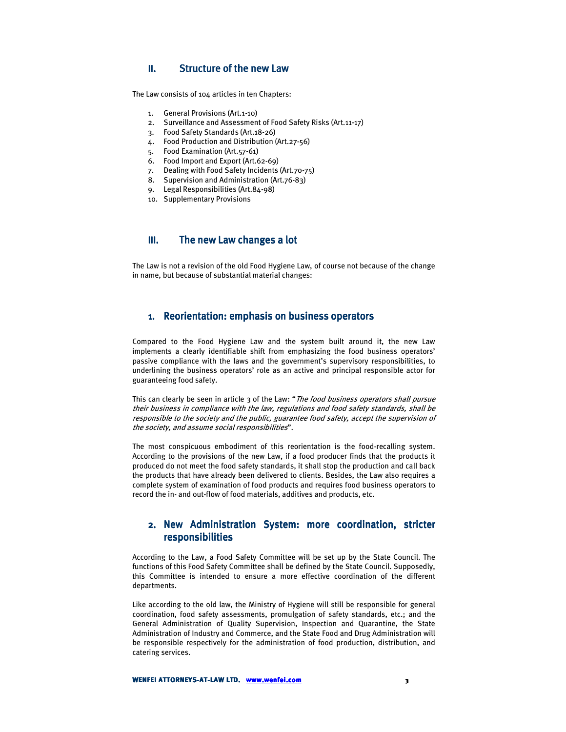#### $II.$  Structure of the new Law

The Law consists of 104 articles in ten Chapters:

- 1. General Provisions (Art.1-10)
- 2. Surveillance and Assessment of Food Safety Risks (Art.11-17)
- 3. Food Safety Standards (Art.18-26)
- 4. Food Production and Distribution (Art.27-56)
- 5. Food Examination (Art.57-61)
- 6. Food Import and Export (Art.62-69)
- 7. Dealing with Food Safety Incidents (Art.70-75)
- 8. Supervision and Administration (Art.76-83)
- 9. Legal Responsibilities (Art.84-98)
- 10. Supplementary Provisions

## III. The new Law changes a lot

The Law is not a revision of the old Food Hygiene Law, of course not because of the change in name, but because of substantial material changes:

#### 1. Reorientation: emphasis on business operators

Compared to the Food Hygiene Law and the system built around it, the new Law implements a clearly identifiable shift from emphasizing the food business operators' passive compliance with the laws and the government's supervisory responsibilities, to underlining the business operators' role as an active and principal responsible actor for guaranteeing food safety.

This can clearly be seen in article 3 of the Law: "The food business operators shall pursue their business in compliance with the law, regulations and food safety standards, shall be responsible to the society and the public, guarantee food safety, accept the supervision of the society, and assume social responsibilities".

The most conspicuous embodiment of this reorientation is the food-recalling system. According to the provisions of the new Law, if a food producer finds that the products it produced do not meet the food safety standards, it shall stop the production and call back the products that have already been delivered to clients. Besides, the Law also requires a complete system of examination of food products and requires food business operators to record the in- and out-flow of food materials, additives and products, etc.

## 2. New Administration System: more coordination, stricter responsibilities responsibilities

According to the Law, a Food Safety Committee will be set up by the State Council. The functions of this Food Safety Committee shall be defined by the State Council. Supposedly, this Committee is intended to ensure a more effective coordination of the different departments.

Like according to the old law, the Ministry of Hygiene will still be responsible for general coordination, food safety assessments, promulgation of safety standards, etc.; and the General Administration of Quality Supervision, Inspection and Quarantine, the State Administration of Industry and Commerce, and the State Food and Drug Administration will be responsible respectively for the administration of food production, distribution, and catering services.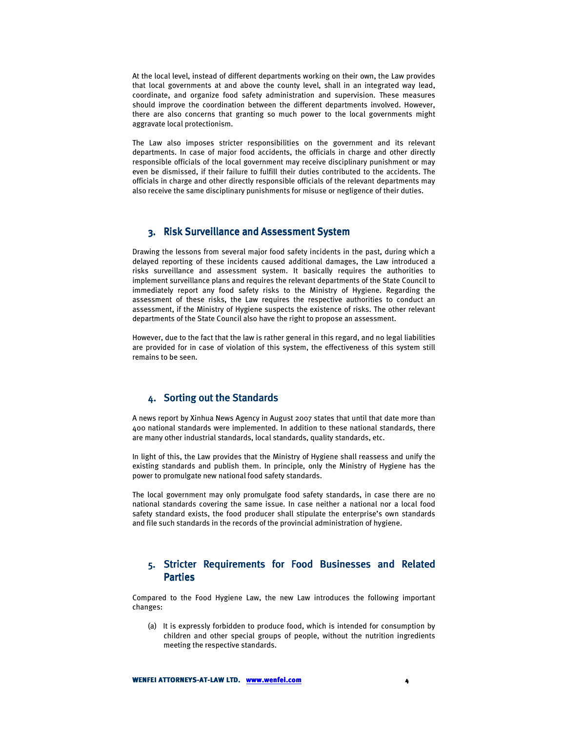At the local level, instead of different departments working on their own, the Law provides that local governments at and above the county level, shall in an integrated way lead, coordinate, and organize food safety administration and supervision. These measures should improve the coordination between the different departments involved. However, there are also concerns that granting so much power to the local governments might aggravate local protectionism.

The Law also imposes stricter responsibilities on the government and its relevant departments. In case of major food accidents, the officials in charge and other directly responsible officials of the local government may receive disciplinary punishment or may even be dismissed, if their failure to fulfill their duties contributed to the accidents. The officials in charge and other directly responsible officials of the relevant departments may also receive the same disciplinary punishments for misuse or negligence of their duties.

#### 3. Risk Surveillance and Assessment System

Drawing the lessons from several major food safety incidents in the past, during which a delayed reporting of these incidents caused additional damages, the Law introduced a risks surveillance and assessment system. It basically requires the authorities to implement surveillance plans and requires the relevant departments of the State Council to immediately report any food safety risks to the Ministry of Hygiene. Regarding the assessment of these risks, the Law requires the respective authorities to conduct an assessment, if the Ministry of Hygiene suspects the existence of risks. The other relevant departments of the State Council also have the right to propose an assessment.

However, due to the fact that the law is rather general in this regard, and no legal liabilities are provided for in case of violation of this system, the effectiveness of this system still remains to be seen.

### 4. Sorting out the Standards

A news report by Xinhua News Agency in August 2007 states that until that date more than 400 national standards were implemented. In addition to these national standards, there are many other industrial standards, local standards, quality standards, etc.

In light of this, the Law provides that the Ministry of Hygiene shall reassess and unify the existing standards and publish them. In principle, only the Ministry of Hygiene has the power to promulgate new national food safety standards.

The local government may only promulgate food safety standards, in case there are no national standards covering the same issue. In case neither a national nor a local food safety standard exists, the food producer shall stipulate the enterprise's own standards and file such standards in the records of the provincial administration of hygiene.

# 5. Stricter Requirements for Food Businesses and Related **Parties**

Compared to the Food Hygiene Law, the new Law introduces the following important changes:

(a) It is expressly forbidden to produce food, which is intended for consumption by children and other special groups of people, without the nutrition ingredients meeting the respective standards.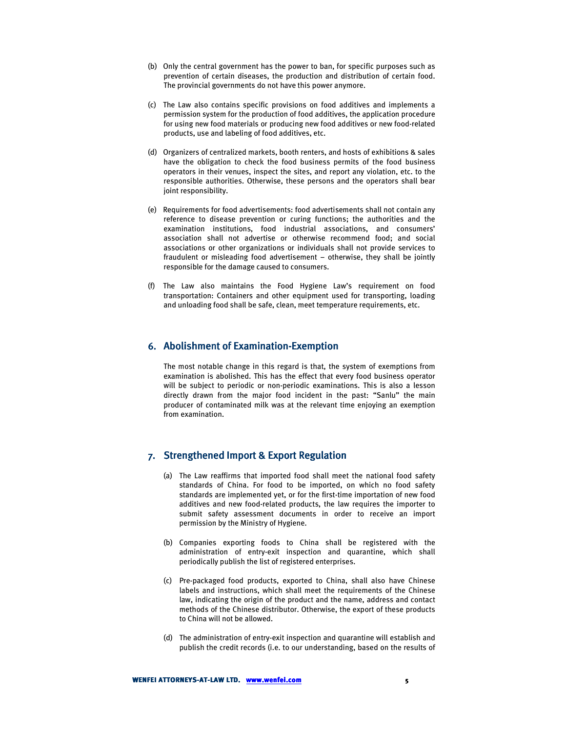- (b) Only the central government has the power to ban, for specific purposes such as prevention of certain diseases, the production and distribution of certain food. The provincial governments do not have this power anymore.
- (c) The Law also contains specific provisions on food additives and implements a permission system for the production of food additives, the application procedure for using new food materials or producing new food additives or new food-related products, use and labeling of food additives, etc.
- (d) Organizers of centralized markets, booth renters, and hosts of exhibitions & sales have the obligation to check the food business permits of the food business operators in their venues, inspect the sites, and report any violation, etc. to the responsible authorities. Otherwise, these persons and the operators shall bear joint responsibility.
- (e) Requirements for food advertisements: food advertisements shall not contain any reference to disease prevention or curing functions; the authorities and the examination institutions, food industrial associations, and consumers' association shall not advertise or otherwise recommend food; and social associations or other organizations or individuals shall not provide services to fraudulent or misleading food advertisement – otherwise, they shall be jointly responsible for the damage caused to consumers.
- (f) The Law also maintains the Food Hygiene Law's requirement on food transportation: Containers and other equipment used for transporting, loading and unloading food shall be safe, clean, meet temperature requirements, etc.

## 6. Abolishment of Examination-Exemption

The most notable change in this regard is that, the system of exemptions from examination is abolished. This has the effect that every food business operator will be subject to periodic or non-periodic examinations. This is also a lesson directly drawn from the major food incident in the past: "Sanlu" the main producer of contaminated milk was at the relevant time enjoying an exemption from examination.

### 7. Strengthened Import & Export Regulation

- (a) The Law reaffirms that imported food shall meet the national food safety standards of China. For food to be imported, on which no food safety standards are implemented yet, or for the first-time importation of new food additives and new food-related products, the law requires the importer to submit safety assessment documents in order to receive an import permission by the Ministry of Hygiene.
- (b) Companies exporting foods to China shall be registered with the administration of entry-exit inspection and quarantine, which shall periodically publish the list of registered enterprises.
- (c) Pre-packaged food products, exported to China, shall also have Chinese labels and instructions, which shall meet the requirements of the Chinese law, indicating the origin of the product and the name, address and contact methods of the Chinese distributor. Otherwise, the export of these products to China will not be allowed.
- (d) The administration of entry-exit inspection and quarantine will establish and publish the credit records (i.e. to our understanding, based on the results of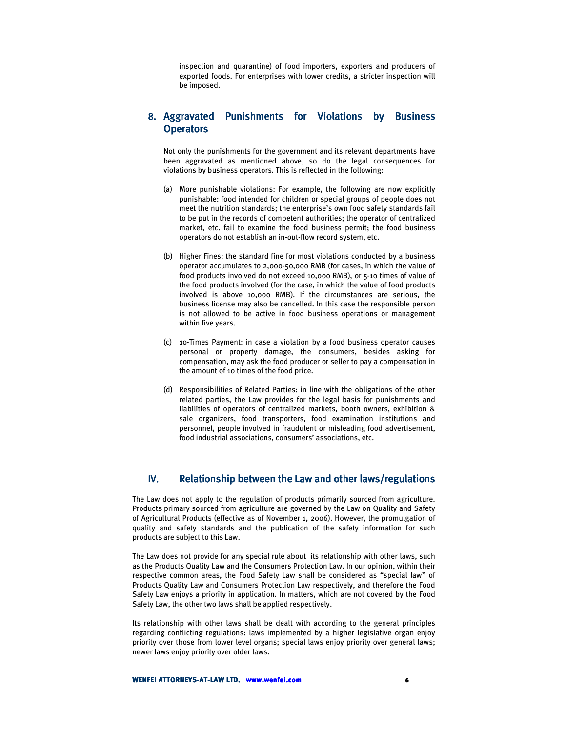inspection and quarantine) of food importers, exporters and producers of exported foods. For enterprises with lower credits, a stricter inspection will be imposed.

## 8. Aggravated Punishments for Violations by Business **Operators**

Not only the punishments for the government and its relevant departments have been aggravated as mentioned above, so do the legal consequences for violations by business operators. This is reflected in the following:

- (a) More punishable violations: For example, the following are now explicitly punishable: food intended for children or special groups of people does not meet the nutrition standards; the enterprise's own food safety standards fail to be put in the records of competent authorities; the operator of centralized market, etc. fail to examine the food business permit; the food business operators do not establish an in-out-flow record system, etc.
- (b) Higher Fines: the standard fine for most violations conducted by a business operator accumulates to 2,000-50,000 RMB (for cases, in which the value of food products involved do not exceed 10,000 RMB), or 5-10 times of value of the food products involved (for the case, in which the value of food products involved is above 10,000 RMB). If the circumstances are serious, the business license may also be cancelled. In this case the responsible person is not allowed to be active in food business operations or management within five years.
- (c) 10-Times Payment: in case a violation by a food business operator causes personal or property damage, the consumers, besides asking for compensation, may ask the food producer or seller to pay a compensation in the amount of 10 times of the food price.
- (d) Responsibilities of Related Parties: in line with the obligations of the other related parties, the Law provides for the legal basis for punishments and liabilities of operators of centralized markets, booth owners, exhibition & sale organizers, food transporters, food examination institutions and personnel, people involved in fraudulent or misleading food advertisement, food industrial associations, consumers' associations, etc.

#### IV. Relationship between the Law and other laws/regulations

The Law does not apply to the regulation of products primarily sourced from agriculture. Products primary sourced from agriculture are governed by the Law on Quality and Safety of Agricultural Products (effective as of November 1, 2006). However, the promulgation of quality and safety standards and the publication of the safety information for such products are subject to this Law.

The Law does not provide for any special rule about its relationship with other laws, such as the Products Quality Law and the Consumers Protection Law. In our opinion, within their respective common areas, the Food Safety Law shall be considered as "special law" of Products Quality Law and Consumers Protection Law respectively, and therefore the Food Safety Law enjoys a priority in application. In matters, which are not covered by the Food Safety Law, the other two laws shall be applied respectively.

Its relationship with other laws shall be dealt with according to the general principles regarding conflicting regulations: laws implemented by a higher legislative organ enjoy priority over those from lower level organs; special laws enjoy priority over general laws; newer laws enjoy priority over older laws.